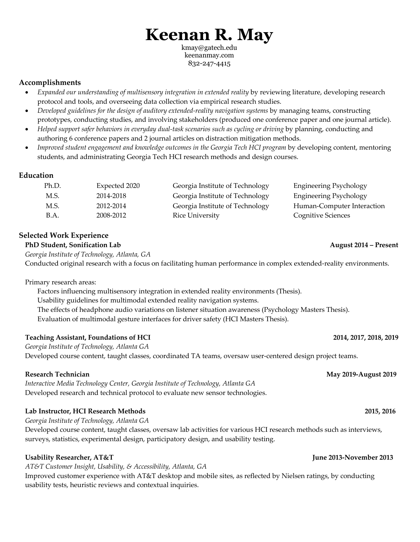# **Keenan R. May**

kmay@gatech.edu keenanmay.com 832-247-4415

# **Accomplishments**

- *Expanded our understanding of multisensory integration in extended reality* by reviewing literature, developing research protocol and tools, and overseeing data collection via empirical research studies.
- *Developed guidelines for the design of auditory extended-reality navigation systems* by managing teams, constructing prototypes, conducting studies, and involving stakeholders (produced one conference paper and one journal article).
- *Helped support safer behaviors in everyday dual-task scenarios such as cycling or driving* by planning, conducting and authoring 6 conference papers and 2 journal articles on distraction mitigation methods.
- *Improved student engagement and knowledge outcomes in the Georgia Tech HCI program* by developing content, mentoring students, and administrating Georgia Tech HCI research methods and design courses.

# **Education**

| Ph.D. | Expected 2020 | Georgia Institute of Technology | <b>Engineering Psychology</b> |
|-------|---------------|---------------------------------|-------------------------------|
| M.S.  | 2014-2018     | Georgia Institute of Technology | <b>Engineering Psychology</b> |
| M.S.  | 2012-2014     | Georgia Institute of Technology | Human-Computer Interaction    |
| B.A.  | 2008-2012     | <b>Rice University</b>          | <b>Cognitive Sciences</b>     |

# **Selected Work Experience**

## **PhD Student, Sonification Lab August 2014 – Present**

*Georgia Institute of Technology, Atlanta, GA*

Conducted original research with a focus on facilitating human performance in complex extended-reality environments.

Primary research areas:

Factors influencing multisensory integration in extended reality environments (Thesis). Usability guidelines for multimodal extended reality navigation systems. The effects of headphone audio variations on listener situation awareness (Psychology Masters Thesis). Evaluation of multimodal gesture interfaces for driver safety (HCI Masters Thesis).

### **Teaching Assistant, Foundations of HCI 2014, 2017, 2018, 2019**

*Georgia Institute of Technology, Atlanta GA* Developed course content, taught classes, coordinated TA teams, oversaw user-centered design project teams.

*Interactive Media Technology Center, Georgia Institute of Technology, Atlanta GA* Developed research and technical protocol to evaluate new sensor technologies.

### **Lab Instructor, HCI Research Methods 2015, 2016**

*Georgia Institute of Technology, Atlanta GA*

Developed course content, taught classes, oversaw lab activities for various HCI research methods such as interviews, surveys, statistics, experimental design, participatory design, and usability testing.

# **Usability Researcher, AT&T June 2013-November 2013**

*AT&T Customer Insight, Usability, & Accessibility, Atlanta, GA*

Improved customer experience with AT&T desktop and mobile sites, as reflected by Nielsen ratings, by conducting usability tests, heuristic reviews and contextual inquiries.

#### **Research Technician May 2019-August 2019**